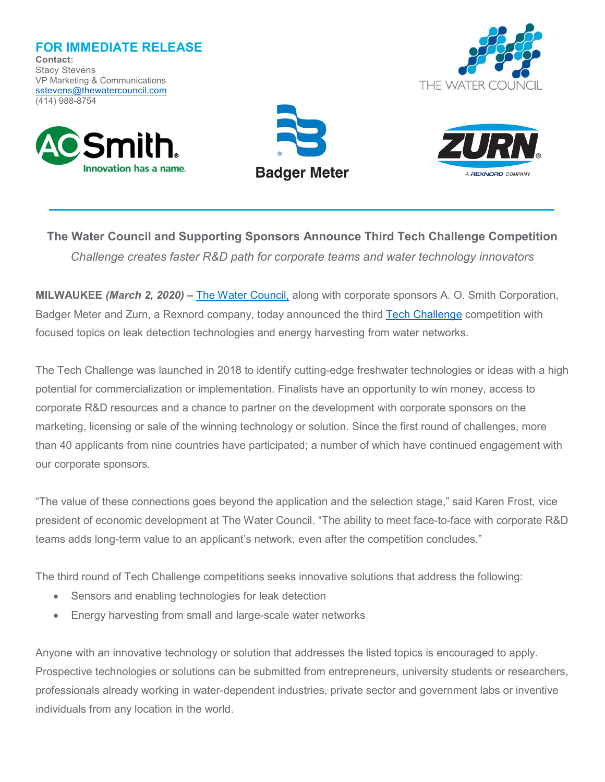**FOR IMMEDIATE RELEASE Contact:** Stacy Stevens VP Marketing & Communications sstevens@thewatercouncil.com (414) 988-8754









**The Water Council and Supporting Sponsors Announce Third Tech Challenge Competition** *Challenge creates faster R&D path for corporate teams and water technology innovators*

**MILWAUKEE** *(March 2, 2020)* **–** [The Water Council,](http://www.thewatercouncil.com/) along with corporate sponsors A. O. Smith Corporation, Badger Meter and Zurn, a Rexnord company, today announced the third [Tech Challenge](https://thewatercouncil.com/programs/tech-challenge/) competition with focused topics on leak detection technologies and energy harvesting from water networks.

The Tech Challenge was launched in 2018 to identify cutting-edge freshwater technologies or ideas with a high potential for commercialization or implementation. Finalists have an opportunity to win money, access to corporate R&D resources and a chance to partner on the development with corporate sponsors on the marketing, licensing or sale of the winning technology or solution. Since the first round of challenges, more than 40 applicants from nine countries have participated; a number of which have continued engagement with our corporate sponsors.

"The value of these connections goes beyond the application and the selection stage," said Karen Frost, vice president of economic development at The Water Council. "The ability to meet face-to-face with corporate R&D teams adds long-term value to an applicant's network, even after the competition concludes."

The third round of Tech Challenge competitions seeks innovative solutions that address the following:

- Sensors and enabling technologies for leak detection
- Energy harvesting from small and large-scale water networks

Anyone with an innovative technology or solution that addresses the listed topics is encouraged to apply. Prospective technologies or solutions can be submitted from entrepreneurs, university students or researchers, professionals already working in water-dependent industries, private sector and government labs or inventive individuals from any location in the world.